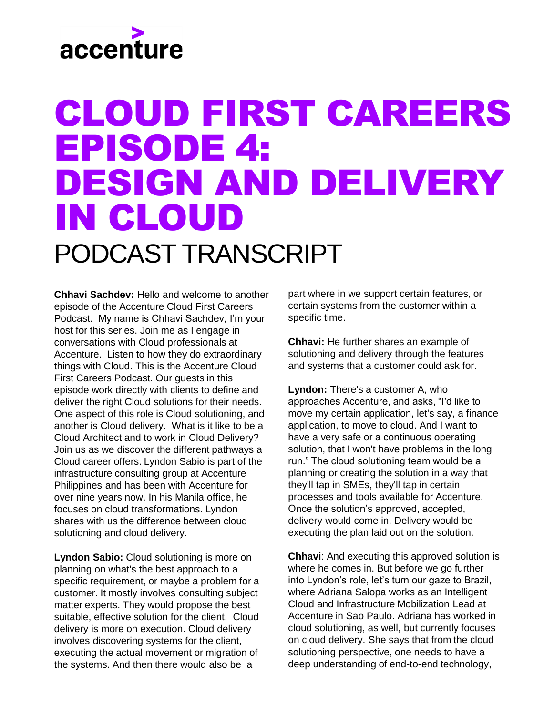## accenture

#### CLOUD FIRST CAREERS EPISODE 4: DESIGN AND DELIVERY IN CLOUD PODCAST TRANSCRIPT

**Chhavi Sachdev:** Hello and welcome to another episode of the Accenture Cloud First Careers Podcast. My name is Chhavi Sachdev, I'm your host for this series. Join me as I engage in conversations with Cloud professionals at Accenture. Listen to how they do extraordinary things with Cloud. This is the Accenture Cloud First Careers Podcast. Our guests in this episode work directly with clients to define and deliver the right Cloud solutions for their needs. One aspect of this role is Cloud solutioning, and another is Cloud delivery. What is it like to be a Cloud Architect and to work in Cloud Delivery? Join us as we discover the different pathways a Cloud career offers. Lyndon Sabio is part of the infrastructure consulting group at Accenture Philippines and has been with Accenture for over nine years now. In his Manila office, he focuses on cloud transformations. Lyndon shares with us the difference between cloud solutioning and cloud delivery.

**Lyndon Sabio:** Cloud solutioning is more on planning on what's the best approach to a specific requirement, or maybe a problem for a customer. It mostly involves consulting subject matter experts. They would propose the best suitable, effective solution for the client. Cloud delivery is more on execution. Cloud delivery involves discovering systems for the client, executing the actual movement or migration of the systems. And then there would also be a

part where in we support certain features, or certain systems from the customer within a specific time.

**Chhavi:** He further shares an example of solutioning and delivery through the features and systems that a customer could ask for.

**Lyndon:** There's a customer A, who approaches Accenture, and asks, "I'd like to move my certain application, let's say, a finance application, to move to cloud. And I want to have a very safe or a continuous operating solution, that I won't have problems in the long run." The cloud solutioning team would be a planning or creating the solution in a way that they'll tap in SMEs, they'll tap in certain processes and tools available for Accenture. Once the solution's approved, accepted, delivery would come in. Delivery would be executing the plan laid out on the solution.

**Chhavi**: And executing this approved solution is where he comes in. But before we go further into Lyndon's role, let's turn our gaze to Brazil, where Adriana Salopa works as an Intelligent Cloud and Infrastructure Mobilization Lead at Accenture in Sao Paulo. Adriana has worked in cloud solutioning, as well, but currently focuses on cloud delivery. She says that from the cloud solutioning perspective, one needs to have a deep understanding of end-to-end technology,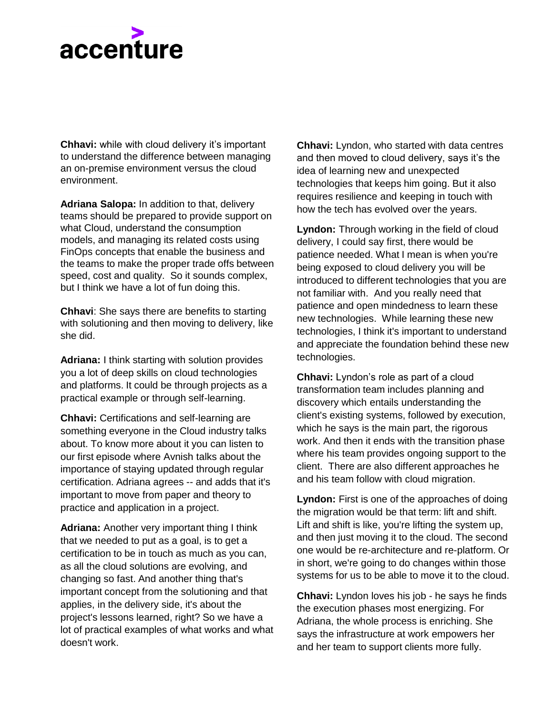# accenture

**Chhavi:** while with cloud delivery it's important to understand the difference between managing an on-premise environment versus the cloud environment.

**Adriana Salopa:** In addition to that, delivery teams should be prepared to provide support on what Cloud, understand the consumption models, and managing its related costs using FinOps concepts that enable the business and the teams to make the proper trade offs between speed, cost and quality. So it sounds complex, but I think we have a lot of fun doing this.

**Chhavi:** She says there are benefits to starting with solutioning and then moving to delivery, like she did.

**Adriana:** I think starting with solution provides you a lot of deep skills on cloud technologies and platforms. It could be through projects as a practical example or through self-learning.

**Chhavi:** Certifications and self-learning are something everyone in the Cloud industry talks about. To know more about it you can listen to our first episode where Avnish talks about the importance of staying updated through regular certification. Adriana agrees -- and adds that it's important to move from paper and theory to practice and application in a project.

**Adriana:** Another very important thing I think that we needed to put as a goal, is to get a certification to be in touch as much as you can, as all the cloud solutions are evolving, and changing so fast. And another thing that's important concept from the solutioning and that applies, in the delivery side, it's about the project's lessons learned, right? So we have a lot of practical examples of what works and what doesn't work.

**Chhavi:** Lyndon, who started with data centres and then moved to cloud delivery, says it's the idea of learning new and unexpected technologies that keeps him going. But it also requires resilience and keeping in touch with how the tech has evolved over the years.

**Lyndon:** Through working in the field of cloud delivery, I could say first, there would be patience needed. What I mean is when you're being exposed to cloud delivery you will be introduced to different technologies that you are not familiar with. And you really need that patience and open mindedness to learn these new technologies. While learning these new technologies, I think it's important to understand and appreciate the foundation behind these new technologies.

**Chhavi:** Lyndon's role as part of a cloud transformation team includes planning and discovery which entails understanding the client's existing systems, followed by execution, which he says is the main part, the rigorous work. And then it ends with the transition phase where his team provides ongoing support to the client. There are also different approaches he and his team follow with cloud migration.

**Lyndon:** First is one of the approaches of doing the migration would be that term: lift and shift. Lift and shift is like, you're lifting the system up, and then just moving it to the cloud. The second one would be re-architecture and re-platform. Or in short, we're going to do changes within those systems for us to be able to move it to the cloud.

**Chhavi:** Lyndon loves his job - he says he finds the execution phases most energizing. For Adriana, the whole process is enriching. She says the infrastructure at work empowers her and her team to support clients more fully.